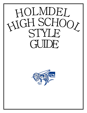

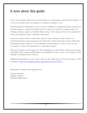### A note about this guide:

This is the Holmdel High School Style Guide for Compositions and Research Papers. It covers all content areas and applies to students in grades 9-12.

This document is designed as a tool to assist students in writing the many varieties of academic papers required for high school. Its goal is to provide a single source for writing academic papers at Holmdel High School. This manual reflects the standard by which all academic papers should be formatted.

It must be noted, however, that there may be some instances where there is a variation from this style manual (at the discretion of the classroom teacher both here at Holmdel and in college). It is the student's responsibility to write correctly and accurately to reflect the demands of a particular course.

This Style Guide is based upon the *MLA Handbook for the Writers of Research Papers*, 7th Edition and contains modifications and additions to better serve the students of the Holmdel Township School District.

Additional information on any of the topics in this guide may be found by going to OWL at Purdue: [\(http://owl.english.purdue.edu/owl/resource/747/01/\)](http://owl.english.purdue.edu/owl/resource/747/01/)

Information compiled and organized by:

Thomas Herman English Teacher Holmdel High School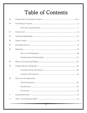## Table of Contents

| $\blacktriangleright$ |                            |
|-----------------------|----------------------------|
| ➤                     |                            |
|                       |                            |
| $\blacktriangleright$ |                            |
| ➤                     |                            |
| ➤                     |                            |
| ➤                     |                            |
| $\blacktriangleright$ |                            |
|                       |                            |
|                       |                            |
| ➤                     |                            |
| ➤                     |                            |
|                       |                            |
|                       |                            |
| ➤                     | Structure and Organization |
|                       |                            |
|                       |                            |
|                       |                            |
| $\blacktriangleright$ |                            |
| ➤                     |                            |
|                       |                            |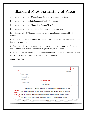### Standard MLA Formatting of Papers

- A. All papers will use 1" margins on the left, right, top, and bottom.
- B. All papers will be left aligned, not justified or centered.
- C. All papers will use Times New Roman, 12 pt font.
- D. All papers will use an MLA style header as illustrated below.

E. Papers will NOT include a separate cover page (unless requested by the teacher).

F. Papers will be double-spaced throughout. There should NOT be an extra space in between paragraphs.

G. For papers that require an original title, the title should be centered. The title should not be bold, italics, underlined, in quotations, or in all caps.

H. After the title, hit return once, hit tab (an additional  $\frac{1}{2}$ " from the preset left margin) and begin writing your first paragraph. Indent each paragraph.

#### Sample First Page:

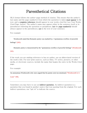### Parenthetical Citations

MLA format follows the author-page method of citation. This means that the author's last name and the page number(s) from which the quotation is taken **must appear** in the text, and a complete reference should appear in your works cited list (see Your Works Cited Page, below). The author's name may appear either in the sentence itself or in parentheses following the quotation or paraphrase, but the page number(s) should always appear in the parentheses, not in the text of your sentence.

For example:

Wordsworth stated that Romantic poetry was marked by a "spontaneous overflow of powerful

feelings" (263).

Romantic poetry is characterized by the "spontaneous overflow of powerful feelings" (Wordsworth

263).

If the work you are making reference to has no author, use an abbreviated version of the work's title. For non-print sources, such as films, TV series, pictures, or other media, or electronic sources, include the name that begins the entry in the Works Cited page.

For example:

An anonymous Wordsworth critic once argued that his poems were too emotional ("Wordsworth Is A

Loser" 100).

Sometimes you may have to use an indirect quotation. An indirect quotation is a quotation that you found in another source that was quoting from the original. For such indirect quotations, use "qtd. in" to indicate the source.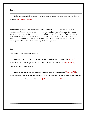For example:

Ravitch argues that high schools are pressured to act as "social service centers, and they don't do that well" (qtd.in Weisman 259).

Sometimes more information is necessary to identify the source from which a quotation is taken. For instance, if two or more authors have the same last name, provide both authors' first initials (or even her or his full name if different authors share initials) in your citation. If you cite more than one work by a particular author, include a shortened title for the particular work from which you are quoting to distinguish it from the other works by that same person.

#### For example:

#### **Two authors with the same last name:**

Although some medical ethicists claim that cloning will lead to designer children (R. Miller 12), others note that the advantages for medical research outweigh this consideration (A. Miller 46).

#### **Two works by the same author:**

Lightenor has argued that computers are not useful tools for small children ("Too Soon" 38), though he has acknowledged that early exposure to computer games does lead to better small motor skill development in a child's second and third year ("Hand-Eye Development" 17).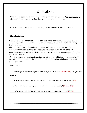### Quotations

When you directly quote the works of others in your paper, you will format quotations differently depending on whether they are long or short quotations.

Here are some basic guidelines for incorporating quotations into your paper.

### Short Quotations

To indicate short quotations (fewer than four typed lines of prose or three lines of verse) in your text, enclose the quotation within double quotation marks and incorporate it into your text.

Provide the author and specific page citation (in the case of verse, provide line numbers) in the text, and include a complete reference in the works-cited list.

Punctuation marks such as periods, commas, and semicolons should appear after the parenthetical citation.

Question marks and exclamation points should appear within the quotation marks if they are a part of the quoted passage but after the parenthetical citation if they are a part of your text.

For example:

According to some, dreams express "profound aspects of personality" (Foulkes 184), though others disagree.

According to Foulkes's study, dreams may express "profound aspects of personality" (184).

Is it possible that dreams may express "profound aspects of personality" (Foulkes 184)?

Cullen concludes, "Of all the things that happened there/ That's all I remember" (11-12).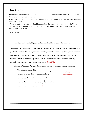#### Long Quotations

Place quotations longer than four typed lines in a free-standing block of typewritten lines, and omit quotation marks.

Start the quotation on a new line, indented one inch from the left margin, and maintain double-spacing.

Your parenthetical citation should come after the closing punctuation mark. When quoting verse, maintain original line breaks. (You should maintain double-spacing throughout your essay.)

For example:

Nelly Dean treats Heathcliff poorly and dehumanizes him throughout her narration:

They entirely refused to have it in bed with them, or even in their room, and I had no more sense, so, I put it on the landing of the stairs, hoping it would be gone on the morrow. By chance, or else attracted by hearing his voice, it crept to Mr. Earnshaw's door, and there he found it on quitting his chamber. Inquiries were made as to how it got there; I was obliged to confess, and in recompense for my cowardice and inhumanity was sent out of the house. (Brontë 78)

In her poem "Sources," Adrienne Rich explores the roles of women in shaping their world:

The faithful drudging child

the child at the oak desk whose penmanship,

hard work, style will win her prizes

becomes the woman with a mission,  $p$ <sup> $\theta$ </sup>t to win prizes

but to change the laws of history. (23)

For long quotes, the citation comes after the punctuation!!!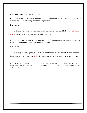#### Adding or Omitting Words In Quotations

If you add a word or words in a quotation, you should put brackets around the words to indicate that they are not part of the original text.

For example:

Jan Harold Brunvand, in an essay on urban legends, states: "some individuals [who retell urban

legends] make a point of learning every rumor or tale" (78).

If you omit a word or words from a quotation, you should indicate the deleted word or word by using ellipsis marks surrounded by brackets.

For example:

In an essay on urban legends, Jan Harold Brunvand notes that "some individuals make a point of

learning every recent rumor or tale [...] and in a short time a lively exchange of details occurs" (78).

If there are ellipsis marks in the quoted author's work, do not put brackets around them; only use brackets around ellipsis marks to distinguish them from ellipsis marks in the quoted author's work.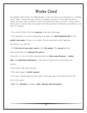### Works Cited

According to MLA Style, the Bibliography, or list of sources are organized as a "Works Cited" page. Follow the rules below to complete this part of your paper properly. There are many sites available to help you format this page correctly. Please utilize these tools to ensure that you include all of the pertinent information (remember to use  $MLA$   $7<sup>th</sup>$  edition).

• The words Works Cited are centered at the top of the page.

• The materials you used in preparing your paper are listed alphabetically by the

author's last name. If there is no author, list the material by title, ignoring

the words *a*, *an*, and *the*.

• The first line of each entry starts at the left margin. The second and any

subsequent lines are indented five spaces.

• An entry in a list of works cited generally has three main divisions-- author,

title, and publication information<sup>--</sup> and each is followed by a period and two

spaces.

- Each entry ends with a period.
- The entire page is **double-spaced**.

• No source should appear on the works cited page that is not referred to in the text of the paper.

• Pay close attention to format: order, spacing, and punctuation.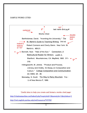### SAMPLE WORKS CITED:



Useful sites to help you create and format a works cited page: <http://citationmachine.net/index2.php?reqstyleid=1&newstyle=1&stylebox=1> <http://owl.english.purdue.edu/owl/resource/747/05/>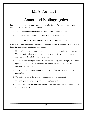### MLA Format for

### Annotated Bibliographies

For an annotated bibliography, use standard MLA format for the citations, then add a brief abstract for each entry, including:

- 2 to 4 sentences to summarize the main idea(s) of the item, and
- 1 or 2 sentences to relate the article to your research topic.

### Basic MLA Style Format for an Annotated Bibliography

Format your citations in the same manner as for a normal reference list, then follow these instructions for adding an annotation.

- 1. Hanging Indents are required for citations in the bibliography, as shown below. That is, the first line of the citation starts at the left margin. Subsequent lines are indented…look below for an example
- 2. As with every other part of an MLA formatted essay, the **bibliography** is **double** spaced, both within the citation and between them. Do not add an extra line between the citations.
- 3. The annotation is a continuation of the citation. Stay on the lone to start the annotation.
- 4. The right margin is the normal right margin of your document.
- 5. In a bibliography, organize your entries alphabetically.
- 6. To view these annotations with correct formatting, set your preferences so that the font size is 12.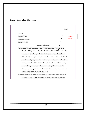#### Sample Annotated Bibliography:

Pat Smart

English 112-72b

Professor IM.A. Sage

November 21, 2001

Annotated Bibliography

This is where the annotation begins!!

Smart 1

Jarrell, Randall. "Robert Frost's 'Home Burial."" Critical Reading and Writing Across the Disciplines. Ed. Cyndia Susan Clegg. New York: Holt, 1988. 468-488. Randall Jarrell, a respected poet himself, analyzes the dramatic dialogue and action of Robert Frost's "Home Burial," showing how the rhythms of the lines and the word choices illustrate the separate ways of grieving and the failure of the couple to reach an understanding of each other's pain at the loss of their child. Jarrell's emphasis on the husband's domineering manner will support my own view that the husband attempts to devalue his wife's feelings, suggesting a pattern in their relationship that has caused previous anguish and explains her rejection of his efforts to appease her.

Malinski, Sean. "Anger and Sorrow in 'Home Burial' by Robert Frost." Journal of American Poetics 57.4 (1993): 27-49. Malinski offers an alternative view about the husband's

13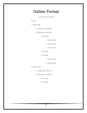### Outline Format

#### TITLE OF OUTLINE

Thesis

- I. Main topic
	- A. Important subtopic
	- B. Important subtopic

(1) Detail

a. Sub-detail

b. Sub-detail

c. Sub-detail

(2) Detail

(3) Detail

a. Sub-detail

b. Sub-detail

II. Main topic

A. Important subtopic

B. Important subtopic

(1) Detail

(2) Detail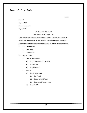#### Sample MLA Formal Outline:

Pat Smart

English 111-77b

Professor Donna Reiss

May 12, 2000

No More Traffic Jams on I-64:

Mass Transit for South Hampton Roads

Thesis statement: Instead of further road construction, which will only increase the amount of traffic in South Hampton Roads, the cities of Norfolk, Portsmouth, Chesapeake, and Virginia Beach should develop a modern mass transit system of light rail and park-and-ride express buses.

- ${\rm I}.$ Current traffic problems
	- A. Morning rush
	- **B.** Afternoon rush

 $II.$ Proposed solutions

- A. More highways and lanes
	- Virginia Department of Transportation  $(1)$
	- $(2)$ City of Norfolk
	- $(3)$ City of Portsmouth
- В. Light rail
	- $(1)$ City of Virginia Beach
		- City Council  $(a)$
		- $(b)$ Citizens for Rapid Transit
		- $(c)$ Environmental Protection Agency
	- $(2)$ City of Norfolk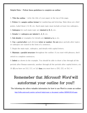#### Helpful Hints - Follow these guidelines to complete an outline:

1. Title the outline - write the title of your paper at the top of the page.

2. Follow the sample outline format for numbering and lettering. Main ideas are chief points. Label them I, II, III, etc. Each main topic must include at least two subtopics.

3. Subtopics for each main topic are labeled A, B, C, etc.

4. Details for subtopics are labeled 1, 2, 3, etc.

5. Sub details or examples for details are labeled a, b, c, etc.

6. Use a period after each division letter or number. Do not place periods after topics or subtopics not stated in the form of a sentence.

7. Begin the main topic, subtopics, and details with capital letters.

8. Maintain a parallel structure throughout the outline; if you start with phrases, don't switch to complete sentences.

9. Indent as shown in the example. You should be able to draw a line through all the periods after Roman numerals, another through all the periods after capital letters, etc. 10. If you have an  $[A], [1],$  or  $[a]$  then you must have a  $[B], [2],$  or  $[b].$  \*\*

### Rememeber that Microsoft Word will autoformat your outline for you!!

The following site offers valuable information for how to use Word to create an outline:

<http://office.microsoft.com/en-us/word-help/create-a-document-outline-RZ006105145.aspx>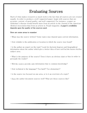### Evaluating Sources

Much of what makes research so much work is the fact that all sources are not created equally. In order to produce a well-supported paper, begin with sources that are accurate, current, of good quality, and well-supported. For instance, a paper on Alzheimer's disease would benefit more from an article in the Journal of the American *Medical Association* than from an article in *People* magazine. A paper's credibility depends upon the quality of the sources used.

#### Here are some areas to examine:

- . When was the source written? Some topics may depend upon current information.
- How reliable is the publication or location in which the source was found?

• Is the author an expert on the topic? Look for doctoral degrees and biographical information about the author which give a better idea of how well he/she knows his/her subject area.

• What is the purpose of the source? Does it have an obvious slant or bias in order to persuade the reader?

- Will the source provide only information that is common knowledge?
- How technical is the language? Too hard? Too elementary?
- · Is the source too focused on one area, or is it an overview of a topic?
- Does the author document sources well? What are these sources like?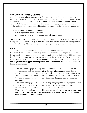### Primary and Secondary Sources

Another way to evaluate sources is to determine whether the sources are primary or secondary. Some essays or reports may need documentation from the original source. A critical essay on a literary work or a report on a government document would require that literary work or document as a source. Primary sources are the original works and are the sources from which others are derived. Here are a few examples:

- letters journals interviews poems
- novels speeches art dissertations
- news reports surveys observations musical compositions

Secondary sources take primary sources and interpret, summarize, or analyze them for a purpose. These sources may include reviews, discussions, annotated bibliographies, critical analyses of literary works, commentaries, and basic essay responses.

### Electronic Sources

The Internet and other electronic sources have made information easier to obtain. However, these sources are also very difficult to evaluate. Web pages can be created by anyone from corporations to non-profit organizations to individuals. This can make it difficult to filter and sort out the sites that are going to prove helpful in writing the paper. Therefore, it is important to develop skills that help discern the good from the bad. Begin with the suggestions for primary and secondary sources, and then consider the following aspects:

- What type of web page is being viewed? Addresses that end in .edu are from educational institutions and may offer the best information for many topics. Addresses ending in .org are from non-profit organizations, those ending in .gov are generated by the United States government, and .com signifies a business.
- Companies from .com sites may be selling something and may not be reliable and unbiased.
- Who created the page? Credentials can help one judge the site's purpose or bias.
- Check the accuracy of the information. Compare what was found with information from paper-based sources and see if it matches up.
- How current is the information? The Internet can offer the most up-to-date data, but this data could just as easily be outdated. One should not accept everything seen on the web. Check carefully.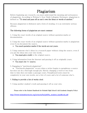### Plagiarism

Before beginning any research, you must understand the meaning and seriousness of plagiarism. According to Webster's New Ninth Collegiate Dictionary, plagiarism is defined as "To steal and pass off as one's own the ideas or words of another."

Because plagiarism is dishonest and a form of stealing, it is an extremely serious offense.

### The following forms of plagiarism are most common:

1. Using the exact words of an original source without quotation marks or documentation.

2. Using the exact words of an original source without quotation marks is plagiarism even if you document the source.

### You need quotation marks if the words are not yours.

3. Using someone else's ideas in a research paper without citing the source, even if you put the ideas into your own words.

• You must give credit to the original source.

4. Using information from the Internet and passing it off as originally yours.

• You must cite the source.

5. Engaging in "patchwork plagiarism".

 "Patchwork plagiarism" occurs when a writer begins to paraphrase a source but does not do a thorough enough job. Merely changing a word or two from time to time does not make a passage yours. Paraphrased notes must be completely in your own words, not a few of yours and a lot of someone else's.

### 6. Failing to provide a list of works cited.

7. Using another student's work and passing it off as your own.

#### Please refer to the Student Handbook for Holmdel High School's full Academic Integrity Policy:

[http://www.holmdelschools.org/schools/hs/pdf/hs\\_student\\_handbook.pdf](http://www.holmdelschools.org/schools/hs/pdf/hs_student_handbook.pdf)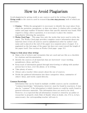### How to Avoid Plagiarism

Avoid plagiarism by giving credit to any sources used in the writing of the paper. Giving credit to the sources used in research is a two step process, both of which are necessary.

- 1.) Citation Within the paragraph it is necessary to identify the exact place from which the quotation, paraphrase, or data was taken. A citation tells a reader the author and page number (if known) where that specific material was found. With regard to citing a direct quotation, it is necessary to place the citation immediately following the quotation.
- 2.) Works Cited Page This page lists only the works that were used to write the paper. The Works Cited page provides complete source information about any material cited. It lists all sources used in alphabetical order by author's last name and is placed at the end of the paper on a separate piece of paper. It is paginated as the last page of the paper but does not count toward the length of the paper itself. (See section on Works Cited page- page 10.)

#### Things to think about when writing:

- Make a list of writers and viewpoints that are used and use this as a checklist for citations and documentation.
- Identify the sources of all materials that are borrowed—exact wording, paraphrases, ideas, and facts.
- Keep track of information gained through interviewing or talking with another person face to face, over the phone, or in writing.
- Take plenty of notes.
- Always ask a teacher when unsure about the use of sources.
- Divide the gathered information into three categories: ideas, summaries of others' ideas, and words copied directly.

#### Common Knowledge

Information that can be found in multiple credible sources can be considered "common knowledge." Information, however, must be found in exactness. It may also be "common" if the information is widely known or could be easily found in general reference materials. This information does not need to be cited. However, it is expected that all information created or owned by an author or researcher is properly cited. Rule of thumb: when in doubt, cite. If it is, in fact, unnecessary, the corresponding teacher will note it.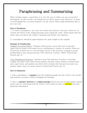### Paraphrasing and Summarizing

When writing a paper, a good idea is to vary the way in which you use researched information. In other words, you should not use direct quotes only. However, in order to avoid plagiarism, you must properly cite the source when using information that is not your own.

### How to Paraphrase

1. To write a paraphrase, use your own words and sentence structure. However, be careful: the intent of the original passage must remain the same, which means that the writer does not distort the author's meaning with his/her own opinions.

2. A paraphrase should be approximately the same length as the original.

### Example of Paraphrasing

Original Text from Source: "Students (36 percent) concur that lack of parental supervision at home is the major factor contributing to violence in schools. However, 34 percent of them cite as a second major factor to the presence of gang or group membership or peer group pressure (The American Teacher, 1993)" (Futrell and Powell, par. 9).

Your Paraphrased Sentence: Statistics from The American Teacher reveal that roughly one third of the interviewed students felt that school violence resulted from poor supervision, and another one third of the students felt that peer pressure was another major cause of school violence (Futrell and Powell, par. 9).

### How to Summarize

1. Like a paraphrase, a summary puts the original passage into the writer's own words and sentence structure without changing the meaning.

2. Since a summary shortens the original passage and focuses on its main points, partial quotes may be used along with the writer's own words in order to highlight the most important information.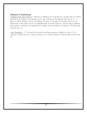#### Examples of Summarizing

Original Text from Source: "America's children are exposed to a steady diet of verbal and physical violence that begins early and continues throughout their lives. [. . .] Most of what children watch, including cartoons, is unsupervised and much of it is filled with scene after scene of unadulterated sex and violence. All too often children who behave violently are themselves victims of an overdose of violence" (Futrell and Powell, par. 2).

Your Summary: 1. Too much television watching exposes children in the U.S. to violence, which may be a factor in their own violent behavior (Futrell and Powell, par. 2).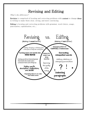### Revising and Editing

What's the difference?

Revision is comprised of locating and correcting problems with content to change ideas in writing to make them clear, strong, and more convincing.

Editing is locating and correcting problems with grammar, word choice, usage, punctuation, capitalization, etc...

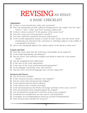# REVISING AN ESSAY:

### A BASIC CHECKLIST

#### **Organization**

- $\Box$  Is there a clear introduction, body, and conclusion?
- $\Box$  Does the introduction provide sufficient background for the reader? Are the "who," "where," "why," "what," and "how" questions addressed?
- $\Box$  Is there a thesis sentence? Is the purpose of the essay clear?
- $\Box$  Does the essay move from general to specific?
- $\Box$  Are there sufficient transitions between related ideas?
- $\Box$  Is the overall organization murky or clean? In other words, does the writer avoid introducing new material in the conclusion or switching subjects in the middle of a paragraph in the body?
- $\square$  Does every paragraph address the subject matter of the thesis in some way?

### Content and Style

- $\Box$  Does the essay show that the writer has a knowledge of the audience?
- $\Box$  Is the length appropriate and adequate?
- $\Box$  Has the writer used sufficient examples and detail to make his or her points clearly?
- $\Box$  Has the assignment been addressed?
- $\Box$  Is the tone of the essay appropriate?
- $\Box$  Is the tone of the essay professional and appropriate?
- $\Box$  Is the language convincing, clear, and concise?
- $\Box$  Has the writer used fresh language and a creative approach?

### Research and Sources

- □ Are all sources credible?
- $\Box$  Is the research accurate, unbiased, and complete?
- $\Box$  Has the writer fully interpreted the findings?
- $\Box$  Is the analysis based on hard evidence?
- $\Box$  Is the analysis free of faulty reasoning?
- $\Box$  Is the documentation in the Works Cited page and body of the essay correct?
- $\Box$  Have all quotations been checked against the original?
- $\Box$  Are all quotations introduced? Is the flow of the essay seamless?
- $\Box$  If material was paraphrased, are the sources still mentioned?
- $\Box$  If included, are recommendations based on accurate interpretations?
- $\Box$  Have all facts been checked for accuracy?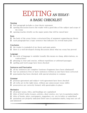# EDITING AN ESSAY:

### A BASIC CHECKLIST

### Opening

- $\Box$  first paragraph includes a clear thesis statement
- $\Box$  opening discussion leaves the reader with a good idea of the subject and scope of my essay
- $\Box$  opening touches briefly on the major points that will be raised later

### Body

- $\Box$  the body of the essay forms a structured line of argument supporting my thesis
- $\Box$  each paragraph has a topic sentence that indicates its overall main point

### **Conclusion**

- $\Box$  the reader is reminded of my thesis and main points
- $\Box$  there is a well developed closing discussion about what my essay has proved

#### Language

- $\Box$  the style of language is suitable (usually this means no slang, abbreviations, no contractions)
- $\Box$  phrasing is clear and concise, without repetitions or awkward passages
- $\Box$  spelling and word usage have been checked

#### Sentences and Punctuation

- $\Box$  all my sentences are complete (sentence fragments have been eliminated)
- $\Box$  run-on sentences (two or more sentences written as one) have been corrected
- $\Box$  punctuation has been checked, with special attention to commas

#### Grammar

- pronoun agreement and subject-verb agreement have been checked
- $\Box$  all verbs are in the right tense, without any unnecessary tense shifts
- $\Box$  possessives are correctly formed, with apostrophes in place

#### **Mechanics**

- $\Box$  all proper nouns, titles, and headings are capitalized
- $\Box$  titles of brief works (essays, articles, short stories, etc.) are in quotation marks
- $\Box$  titles of books, plays, newspapers, magazines, etc. are in italics or underlined

 $\Box$  quotations are properly indicated (brief ones in quotation marks, long ones set off and indented)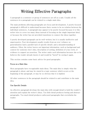### Writing Effective Paragraphs

A paragraph is a sentence or group of sentences set off as a unit. Usually all the sentences in a paragraph can be related to a single main idea.

The main problems affecting paragraphs are focus and development. A poorly focused paragraph is difficult to understand because there seems to be no relation between the individual sentences. A paragraph may appear to be poorly focused because it is (the writer tries to cover too many ideas instead of focusing on the single important idea), or because the writer has not provided transitions to connect the ideas together.

A poorly developed paragraph can be well-written, but it is usually ineffective and unpersuasive. Poor development usually results from an over-reliance on generalization (and a parallel lack of specific detail), and a misunderstanding of audience. Often, the writer leaves out important information, such as background and context for someone else's idea, description of setting, definition of a key term, or evidence to support an assertion. The writer omits such information because she or he believes the reader already knows it and would be "bored" by seeing it again.

This section contains some basic advice for good paragraphs.

### Focus on a Main Idea

Most paragraphs have recognizable main ideas. The main idea is simply what the paragraph is about, and may be stated in a topic sentence which occurs at the beginning of the paragraph, or may be so obvious that it is implied.

All other sentences in the paragraph should be related to and contribute to the main idea.

### Use Specific Details

An effective paragraph develops the main idea with enough detail to hold the reader's attention and explain the writer's ideas. Too little detail produces boring and abstract paragraphs. Too much detail produces unfocused paragraphs that overwhelm the reader.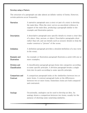### Develop using a Pattern

The structure of a paragraph can take almost an infinite variety of forms. However, certain patterns occur frequently.

| Narration                      | A narrative paragraph uses a story or part of a story to develop<br>the main idea. Often the story serves as anecdotal evidence in<br>support of the main idea, producing a paragraph similar to the<br>example and illustration pattern.                       |
|--------------------------------|-----------------------------------------------------------------------------------------------------------------------------------------------------------------------------------------------------------------------------------------------------------------|
| Description                    | A descriptive paragraph uses specific details to create a clear idea<br>of a place, time, person, or object. Descriptive paragraphs show<br>rather than tell, and use details such as sensory details to help the<br>reader construct a "picture" of the scene. |
| Definition                     | A definition paragraph provides a detailed definition of a key term<br>in the essay.                                                                                                                                                                            |
| Example and<br>Illustration    | An example or illustration paragraph illustrates a point with one or<br>more examples.                                                                                                                                                                          |
| Division and<br>Classification | A classification paragraph groups items into categories according<br>to some specific principle. A division paragraph breaks a single<br>item into its parts according to some specific principle.                                                              |
| Comparison and<br>Contrast     | A comparison paragraph looks at the similarities between two or<br>more items. A contrast paragraph looks at the differences<br>between two or more items. Sometimes items are both compared<br>and contrasted.                                                 |
| Analogy                        | Occasionally, analogies can be used to develop an idea. An<br>analogy draws a comparison between two items, usually for the<br>purpose of showing some surprising similarity.                                                                                   |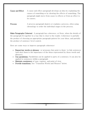Cause and Effect A cause and effect paragraph develops an idea by explaining the causes of something or by showing the effects of something. The paragraph might move from cause to effects or from an effect to its causes.

**Process** A process paragraph depicts or explains a process, often using chronology to order the individual stages in the process.

Make Paragraphs Coherent: A paragraph has coherence, or flows, when the details of the paragraph fit together in a way that is clear to the reader. Coherence is partially the product of choosing an appropriate paragraph pattern for your ideas, and partially the product of sentence-level control.

Here are some ways to improve paragraph coherence:

- Repeat key words or phrases—or pronouns that point to them—to link sentences (and alert them to the importance of the ideas represented by those words and phrases).
- Use parallelism. Parallelism can be applied to parts of a sentence. It can also be applied to sentences within a paragraph.
- Maintain consistency of tone, register, and point of view.
- Provide transitions. See "Transition Words and Phrases" below.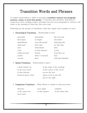### Transition Words and Phrases

To signal relationships or shifts in meaning, a transition connects one paragraph, sentence, clause, or word with another. A transition also identifies what kind of connection exists, helping readers anticipate how the next paragraph or sentence will relate to the meaning of what they have just read.

Following are the groups of transitions, what they signal, and examples of each:

1. Chronological Transitions. . .Relationship in time:

| presently      | meanwhile       | the next day       |
|----------------|-----------------|--------------------|
| thereupon      | at length       | thereafter         |
| immediately    | soon afterward  | following this     |
| afterward      | after that      | by that time       |
| next           | beforehand      | later              |
| soon           | at that moment  | at last            |
| within an hour | shortly         | from then on       |
| earlier        | when I returned | first              |
| second         | then            | with that finished |

2. Spatial Transitions. . .Relationship in space:

| a little farther on  | at the edge of the clearing |
|----------------------|-----------------------------|
| in the next room     | at the center of the circle |
| at that altitude     | across the way              |
| between those cities | about a foot to the left    |
|                      | just to the right           |

3. Comparison Transitions. . .What follows is similar to what precedes:

| likewise        | once again     | similarly        |
|-----------------|----------------|------------------|
| in the same way | in like manner | at the same time |
| once more       |                |                  |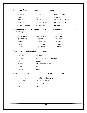### 4. Contrast Transitions. . .A contradiction or contrast:

| however         | conversely      | nevertheless      |
|-----------------|-----------------|-------------------|
| whereas         | still           | even so           |
| surely          | unlike          | on the other hand |
| nonetheless     | on the contrary | in spite of this  |
| notwithstanding | for all that    | in contrast       |

5. Middle Paragraph Transitions. . .What follows is an illustration, a qualification, or an example:

| for example  | for instance  | likewise      |
|--------------|---------------|---------------|
| specifically | frequently    | in particular |
| similarly    | to illustrate | whenever      |
| that is      | in general    | occasionally  |
| generally    | especially    | usually       |

What follows is additional or supplementary:

| furthermore | besides                    |
|-------------|----------------------------|
| moreover    | as if that were not enough |
| and         | indeed                     |
| in fact     | first, second, third       |
| in addition | also                       |
| then, too   | again                      |

What follows is quite expected, quite natural, or obviously true:

| to be sure | it follows, then, that |
|------------|------------------------|
| of course  | for that matter        |
| naturally  | as a matter of fact    |
| surely     | without a doubt        |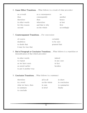### 6. Cause-Effect Transitions. . .What follows is a result of what precedes:

| as a result     | as a consequence | <sub>SO</sub> |
|-----------------|------------------|---------------|
| thus            | consequently     | another       |
| therefore       | then             | hence         |
| in other words  | wherefore        | at last       |
| for this reason | and that is why  | first         |
| second          | on the whole     | accordingly   |

#### 7. Counterargument Transitions. . .For concession:

| of course           | certainly    |
|---------------------|--------------|
| doubtless           | to be sure   |
| to doubt that       | granted that |
| it may be true that |              |

- 8. End of Paragraph or Conclusion Transitions. . .What follows is a repetition or intensification of that which precedes:
	- in other words indeed to repeat in any case as we have seen in fact as noted earlier besides to put it another way

9. Conclusion Transitions. . .What follows is a summary:

| therefore          | all in all   | in short      |
|--------------------|--------------|---------------|
| in a word          | on the whole | in conclusion |
| what we have, then | in sum       | to summarize  |
| in summary         | in brief     | finally       |
| to conclude        |              |               |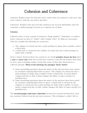### Cohesion and Coherence

Cohesion: Readers must feel that they move easily from one sentence to the next, that each "coheres" with the one before and after.

Coherence: Readers must also feel that sentences are not just individually clear but constitute a unified passage focused on a coherent set of ideas.

### Cohesion

Cohesion refers to how a group of sentences "hang together." Sometimes, to achieve better cohesion we have to "violate" other writing "rules" we think are sacrosanct. Take for example the following two sentences:

- a. The collapse of a dead star into a point perhaps no larger than a marble creates a black hole.
- b. A black hole is created by the collapse of a dead star into a point perhaps no larger than a marble.

Given a choice between these two sentences we would **probably choose the first** since it uses an active verb while the second uses a passive verb. But the passive does have its uses, such as helping readers create that sense of flow that characterizes a coherent passage. Which of the following two passages "flows" better?

- A. Some astonishing questions about the nature of the universe have been raised by scientists studying black holes in space. The collapse of a dead star into a point perhaps no larger than a marble creates a black hole. So much matter compressed into so little volume changes the fabric of space around it in puzzling ways.
- B. Some astonishing questions about the nature of the universe have been raised by scientists studying black holes in space. A black hole is created by the collapse of a dead star into a point perhaps no larger than a marble. So much matter compressed into so little volume changes the fabric of space around it in puzzling ways.

The second passage reads more coherently because the concept introduced by each new sentence follows from the previous sentence. This technique is called "old-to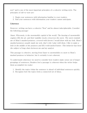new" and is one of the most important principles of a cohesive writing style. The principles of old-to-new are:

- 1. Begin your sentences with information familiar to your readers.
- 2. End your sentences with information your readers cannot anticipate.

### **Coherence**

However, writing can have a cohesive "flow" and be almost indecipherable. Consider the following passage:

Saner, Wisconsin, is the snowmobile capital of the world. The buzzing of snowmobile engines fills the air, and their tanklike tracks crisscross the snow. The snow reminds me of Mom's mashed potatoes, covered with furows I would draw with my fork. Mom's mashed potatoes usually made me sick, that's why I play with them. I like to make a hole in the middle of the potatoes and fill it with melted butter. This behavior has been the subject of long chats between me and my analyst.

This passage is cohesive, moving from Saner to snowmobiles to snow to Mom's mashed potatoes to behavior, but it certainly is not coherent.

To understand coherence we need to consider how readers make sense out of larger groupings of sentences. Readers feel a passage is coherent when the writer helps them accomplish two tasks:

- 1. Identify the topics (what the sentence is about) of individual sentences quickly.
- 2. Recognize how the topics form a connected set of ideas.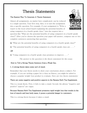### Thesis Statements

### The Easiest Way To Generate A Thesis Statement

Almost all assignments, no matter how complicated, can be reduced to a single question. Your first step, then, is to turn the assignment into a specific question. For example, if your assignment is "Write a report to the local school board explaining the potential benefits of using computers in a fourth-grade class," turn the request into a



question like "What are the potential benefits of using computers in a fourth-grade class?" After you've chosen the question your paper will answer, compose one or two complete sentences answering that question.

Q: "What are the potential benefits of using computers in a fourth-grade class?"

A: "The potential benefits of using computers in a fourth-grade class are . . . ."

### OR

A: "Using computers in a fourth-grade class promises to improve . . . ."

The answer to the question is the thesis statement for the essay.

### How to Tell a Strong Thesis Sentence from a Weak One.

### 1. A strong thesis takes some sort of stand.

Remember that your thesis needs to show your conclusions about a subject. For example, if you are writing a paper for a class on fitness, you might be asked to choose a popular weight-loss product to evaluate. Here are two thesis statements:

### There are some negative and positive aspects to the Banana Herb Tea Supplement.

This is a weak thesis. First, it fails to take a stand. Second, the phrase "negative and positive" aspects" are vague.

### Because Banana Herb Tea Supplement promotes rapid weight loss that results in the loss of muscle and lean body mass, it poses a potential danger to customers.

This is a strong thesis because it takes a stand.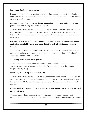### 2. A strong thesis expresses one main idea.

Readers need to be able to see that your paper has one main point. If your thesis expresses more than one idea, then you might confuse your readers about the subject of your paper. For example:

### Companies need to exploit the marketing potential of the Internet, and web pages can provide both advertising and customer support.

This is a weak thesis statement because the reader can't decide whether the paper is about marketing on the Internet or web pages. To revise the thesis, the relationship between the two ideas needs to become clearer. One way to revise the thesis would be to write:

### Because the Internet is filled with tremendous marketing potential, companies should exploit this potential by using web pages that offer both advertising and customer support.

This is a strong thesis because it shows that the two ideas are related. Hint: a great many clear and engaging thesis statements contain words like "because," "since," "so," "although," "unless," and "however."

### 3. A strong thesis statement is specific.

A thesis statement should show exactly what your paper will be about, and will help you keep your paper to a manageable topic. For example, if you write a paper on hunger, you might say:

#### World hunger has many causes and effects.

This is a weak thesis statement for two major reasons. First, "world hunger" can't be discussed thoroughly in five or ten pages. Second, "many causes and effects" is vague. You should be able to identify specific causes and effects. A revised thesis might look like this:

### Hunger persists in Appalachia because jobs are scarce and farming in the infertile soil is rarely profitable.

This is a strong thesis because it narrows the subject to a more specific and manageable topic and it also identifies the specific causes for the existence of hunger.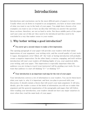### Introductions

Introductions and conclusions can be the most difficult parts of papers to write. Usually when you sit down to respond to an assignment, you have at least some sense of what you want to say in the body of your paper. You might have chosen a few examples you want to use or have an idea that will help you answer the question: these sections, therefore, are not as hard to write. But these middle parts of the paper can't just come out of thin air; they need to be introduced and they need to be concluded in a way that makes sense to your reader.

### 1. Why bother writing a good introduction?

### $\checkmark$  You never get a second chance to make a first impression.

The opening paragraph of your paper will provide your readers with their initial impressions of your argument, your writing style, and the overall quality of your work. A vague, disorganized, error-filled, off- the-wall, or boring introduction will probably create a negative impression. On the other hand, a concise, engaging, and well-written introduction will start your readers off thinking highly of you, your analytical skills, your writing, and your paper. This impression is especially important when the audience you are trying to reach (your instructor) will be grading your work. Do you want that audience to start off thinking "C+" or thinking "A"?

### $\checkmark$  Your introduction is an important road map for the rest of your paper.

Your introduction conveys a lot of information to your readers. You can let them know what your topic is, why it is important, and how you plan to proceed with your discussion. It should contain a thesis that will assert your main argument. It will also, ideally, give the reader a sense of the kinds of information you will use to make that argument and the general organization of the paragraphs and pages that will follow. After reading your introduction, your readers should not have any major surprises in store when they read the main body of your paper.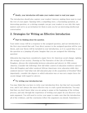### $\checkmark$  Ideally, your introduction will make your readers want to read your paper.

The introduction should also capture your readers' interest, making them want to read the rest of your paper. Opening with a compelling story, a fascinating quotation, an interesting question, or a stirring example can get your readers to see why this topic matters and serve as an invitation for them to join you for an interesting intellectual conversation.

### 2. Strategies for Writing an Effective Introduction

### $\checkmark$  Start by thinking about the question.

Your entire essay will be a response to the assigned question, and our introduction is the first step toward that end. Your direct answer to the assigned question will be your thesis, and your thesis will be included in your introduction, so it is a good idea to use the question as a jumping off point. Imagine that you are assigned the following question:

Education has long been considered a major force for American social change, righting the wrongs of our society. Drawing on The Narrative of the Life of Frederick Douglass, discuss the relationship between education and slavery in 19th century America. Consider the following: How did white control of education reinforce slavery? How did Douglass and other enslaved African Americans view education while they endured slavery? And what role did education play in the acquisition of freedom? Most importantly, consider the degree to which education was or was not a major force for social change with regard to slavery.

### $\checkmark$  Try writing your introduction last.

You may think that you have to write your introduction first, but that isn't necessarily true, and it isn't always the most effective way to craft a good introduction. You may find that you don't know what you are going to argue at the beginning of the writing process, and only through the experience of writing your paper do you discover your main argument. You will need to revise your paper to make sure that the introduction, all of the evidence, and the conclusion reflect the argument you intend. Sometimes it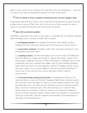helps to write up all of your evidence first and then write the introduction  $-$  that way you can be sure that the introduction matches the body of the paper.

### $\checkmark$  Don't be afraid to write a tentative introduction first and then change it later.

Some people find that they need to write some kind of introduction in order to get the writing process started. That's fine, but if you are one of those people, be sure to return to your initial introduction later and rewrite if need be.

### $\checkmark$  Open with an attention grabber.

Sometimes, especially if the topic of your paper is somewhat dry or technical, opening with something catchy can help. Consider these options:

1. an intriguing example (for example, the mistress who initially teaches Douglass but then ceases her instruction as she learns more about slavery)

2. a provocative quotation, (Douglass writes that "education and slavery were incompatible with each other")

3. a puzzling scenario, (Frederick Douglass says of slaves that "[N]othing has been left undone to cripple their intellects, darken their minds, debase their moral nature, obliterate all traces of their relationship to mankind; and yet how wonderfully they have sustained the mighty load of a most frightful bondage, under which they have been groaning for centuries!" Douglass clearly asserts that slave owners went to great lengths to destroy the mental capacities of slaves, but yet his own life story proves that these efforts could be unsuccessful.)

4. a vivid and perhaps unexpected anecdote (Learning about slavery in the American history course at Frederick Douglass High School, students studied the work slaves did, the impact of slavery on their families, and the rules that governed their lives. We didn't discuss education, however, until one student, Mary, raised her hand and asked, "But when did they go to school?" That modern high school students could not conceive of an American childhood devoid of formal education speaks volumes about the centrality of education to American youth today, and also suggests the meanings of the deprivation of education to past generations.")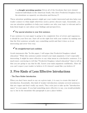5. a thought-provoking question (Given all of the freedoms that were denied enslaved individuals in the American South, why does Frederick Douglass focus his attentions so squarely on education and literacy?)

These attention-grabbing openers might get your reader interested and also help your reader connect to what might otherwise seem a pretty obscure topic. Essentially, you can use attention-grabbers to help your readers see why your topic is relevant and to help them begin to care about your findings and perspectives.

### $\checkmark$  Pay special attention to your first sentence.

If any sentence in your paper is going to be completely free of errors and vagueness, it should be your first one. Start off on the right foot with your readers by making sure that the first sentence actually says something useful and that it does so in an interesting and error-free way.

### $\checkmark$  Be straightforward and confident.

Avoid statements like "In this paper, I will argue that Frederick Douglass valued education." While this sentence points toward your main argument, it isn't especially interesting. It might be more effective to say what mean in a declarative sentence. It is much more convincing to tell that "Frederick Douglass valued education" than to tell us that you are going to say that he did. Assert your main argument confidently. After all, you can't expect your reader to believe it if it doesn't sound like you believe it!

### 3. Five Kinds of Less Effective Introductions

### The Place Holder Introduction.

When you don't have much to say on a given topic, it is easy to create this kind of introduction. Essentially, this kind of weaker introduction contains several sentences that are vague and don't really say much. They exist just to take up the "introduction space" in your paper. If you had something more effective to say, you would probably say it, but in the meantime this paragraph is just a place holder.

39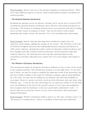Weak Example: Slavery was one of the greatest tragedies in American history. There were many different aspects of slavery. Each created different kinds of problems for enslaved people.

#### The Restated Question Introduction.

Restating the question can be an effective strategy, but it can be easy to stop at JUST restating the question instead of offering a more effective, interesting introduction to your paper. The teacher or teaching assistant wrote your questions and will be reading ten to seventy essays in response to them--they do not need to read a whole paragraph that simply restates the question. Try to do something more interesting.

Weak Example: Indeed, education has long been considered a major force for American social change, righting the wrongs of our society. The Narrative of the Life of Frederick Douglass discusses the relationship between education and slavery in 19th century America, showing how white control of education reinforced slavery and how Douglass and other enslaved African Americans viewed education while they endured. Moreover, the book discusses the role that education played in the acquisition of freedom. Education was a major force for social change with regard to slavery.

#### The Webster's Dictionary Introduction.

This introduction begins by giving the dictionary definition of one or more of the words in the assigned question. This introduction strategy is on the right track--if you write one of these, you may be trying to establish the important terms of the discussion, and this move builds a bridge to the reader by offering a common, agreed-upon definition for a key idea. You may also be looking for an authority that will lend credibility to your paper. However, anyone can look a word up in the dictionary and copy down what Webster says - it may be far more interesting for you (and your reader) if you develop your own definition of the term in the specific context of your class and assignment. Also recognize that the dictionary is also not a particularly authoritative work  $-$  it doesn't take into account the context of your course and doesn't offer particularly detailed information.

Weak Example: Webster's dictionary defines slavery as "the state of being a slave," as "the practice of owning slaves," and as "a condition of hard work and subjection."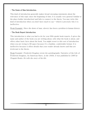### The Dawn of Man Introduction.

This kind of introduction generally makes broad sweeping statements about the relevance of this topic since the beginning of time. It is usually very general (similar to the place holder introduction) and fails to connect to the thesis. You may write this kind of introduction when you don't have much to say--which is precisely why it is ineffective.

Weak Example: Since the dawn of man, slavery has been a problem in human history.

### The Book Report Introduction.

This introduction is what you had to do for your fifth-grade book reports. It gives the name and author of the book you are writing about, tells what the book is about, and offers other basic facts about the book. You might resort to this sort of introduction when you are trying to fill space because it's a familiar, comfortable format. It is ineffective because it offers details that your reader already knows and that are irrelevant to the thesis.

Weak Example: Frederick Douglass wrote his autobiography, Narrative of the Life of Frederick Douglass, An American Slave, in the 1840s. It was published in 1986 by Penguin Books. He tells the story of his life.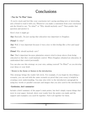### Conclusions

### . Play the "So What" Game.

If you're stuck and feel like your conclusion isn't saying anything new or interesting, ask a friend to read it with you. Whenever you make a statement from your conclusion, ask the friend to say, "So what?" or "Why should anybody care?" Then ponder that question and answer it.

Here's how it might go:

You: Basically, I'm just saying that education was important to Douglass.

Friend: So what?

You: Well, it was important because it was a key to him feeling like a free and equal citizen.

Friend: Why should anybody care?

You: That's important because plantation owners tried to keep slaves from being educated so that they could maintain control. When Douglass obtained an education, he undermined that control personally.

You can also use this strategy on your own, asking yourself "So What?" as you develop your ideas or your draft.

• Return to the theme or themes in the introduction.

This strategy brings the reader full circle. For example, if you begin by describing a scenario, you can end with the same scenario as proof that your essay is helpful in creating a new understanding. You may also refer to the introductory paragraph by using key words or parallel concepts and images that you also used in the introduction.

### Synthesize, don't summarize:

Include a brief summary of the paper's main points, but don't simply repeat things that were in your paper. Instead, show your reader how the points you made and the support and examples you used fit together. Pull it all together for them.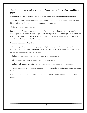Include a provocative insight or quotation from the research or reading you did for your paper.

• Propose a course of action, a solution to an issue, or questions for further study.

This can redirect your reader's thought process and help her to apply your info and ideas to her own life or to see the broader implications.

### Point to broader implications.

For example, if your paper examines the Greensboro sit-ins or another event in the Civil Rights Movement, you could point out its impact on the Civil Rights Movement as a whole. A paper about the style of writer Virginia Woolf could point to her influence on other writers or on later feminists.

### Common Conclusion Mistakes

• Beginning with an unnecessary, overused phrase such as "in conclusion," "in summary," or "in closing." Although these phrases can work in speeches, they come across as wooden and trite in writing.

- Stating the thesis for the very first time in the conclusion.
- · Introducing a new idea or subtopic in your conclusion.
- Ending with a rephrased thesis statement without any substantive changes.
- Making sentimental, emotional appeals (out of character with the rest of an analytical paper).

• Including evidence (quotations, statistics, etc.) that should be in the body of the paper.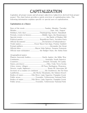### CAPITALIZATION

Capitalize all proper nouns and all proper adjectives (adjectives derived from proper nouns). The chart below provides a quick overview of capitalization rules. The following information explains specific or special uses of capitalization.

### Capitalization at a Glance

| Holidays, holy days Thanksgiving, Easter, Hanukkah          |
|-------------------------------------------------------------|
|                                                             |
|                                                             |
| Political parties  Republican Party, Socialist Party        |
| Official documents Declaration of Independence              |
| Trade namesOscar Mayer hot dogs, Pontiac Sunbird            |
|                                                             |
|                                                             |
| Official state nicknames  the Badger State, the Aloha State |

#### Geographical names

| Planets, heavenly bodies Earth, Jupiter, the Milky Way         |
|----------------------------------------------------------------|
|                                                                |
|                                                                |
|                                                                |
|                                                                |
|                                                                |
| Sections of a country or continent the Southwest, the Far East |
| Landformsthe Rocky Mountains, the Sahara Desert                |
| Bodies of waterNile River, Lake Superior, Pumpkin Creek        |
| Public areasYosemite, Yellowstone National Park                |
|                                                                |
| Public areasYosemite, Yellowstone National Park                |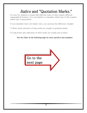### Italics and "Quotation Marks."

It's easy for students to forget that different types of titles require different typographical features. It is even harder to remember which type of title requires which type of punctuation.

If you remember these two handy rules, you can keep the difference straight:

- 1) Short works and parts of long works are usually in quotation marks.
- 2) Long works and collections of short works are usually put in italics.

See the Chart on the following page for more specifics and examples

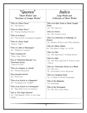### "Quotes"

"Short Works" and "Sections of Longer Works"

"Title of a Short Poem." Ex: "The Raven."

"Title of a Short Story." Ex: "Young Goodman Brown"

"Title of an Essay" Ex: "The Fiction of Langston Hughes"

"Title of a Short Song" "Money Talks"

"Title of a Skit or Monologue" Ex: "Madman's Lament"

"Short Commercial" "Obey Your Thirst."

Title of "Individual Episode" in a Television Series. "Sawyer's Past"

"Title of a Chapter in a Book" Ex: "Welsh Mountains"

"Encyclopedia Article" Ex: "Etruscan"

"Title of an Article in a Magazine" Ex: "Training Your Toddler"

"Title of an Article in a Newspaper" Ex: "Man Kills Seven in Subway"

"One or Two Page Handout" Ex: "Old English Verbs: A One Page Guide"

Italics

Long Works and Collection of Short Works

Title of an Epic Poem or Book-Length Poem

Ex: The Odyssey

Title of a Novel Ex: The Scarlet Letter

Title of a Collection or Anthology of Essays Ex: Modern Writers and Their Readers

Title of a Music Album Ex: The Razor's Edge, by AC/DC

Title of a Play Ex: The Importance of Being Ernest

Title of a Film Ex: Star Wars Episode II: Attack of the Clones

Title of a Television Series as a Whole Ex: The Lost Ex: Everybody Loves Raymond

Title of a Complete Book Ex: A Guide to Welsh Geography

Title of the Magazine. Ex: Parenting

Title of the Newspaper Ex: The New York Times